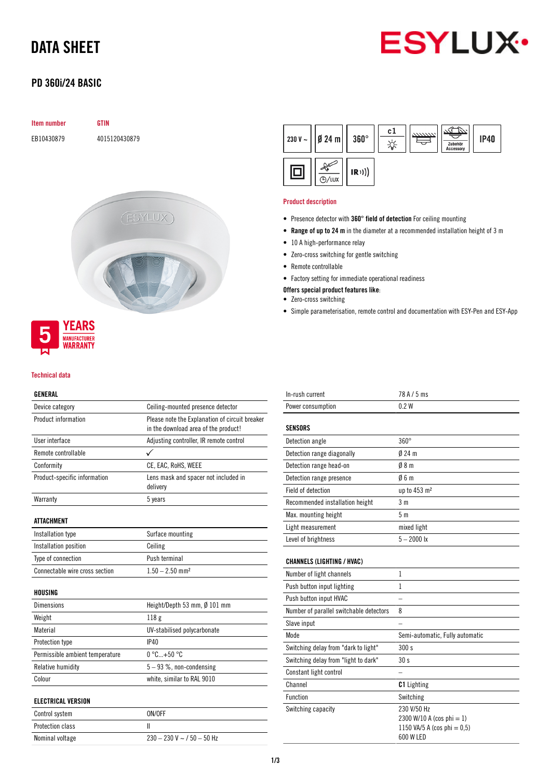# DATA SHEET



## PD 360i/24 BASIC



### Technical data

WARRANTY

### GENERAL

| Device category                 | Ceiling-mounted presence detector                                                      |  |  |
|---------------------------------|----------------------------------------------------------------------------------------|--|--|
| Product information             | Please note the Explanation of circuit breaker<br>in the download area of the product! |  |  |
| User interface                  | Adjusting controller, IR remote control                                                |  |  |
| Remote controllable             |                                                                                        |  |  |
| Conformity                      | CE, EAC, RoHS, WEEE                                                                    |  |  |
| Product-specific information    | Lens mask and spacer not included in<br>delivery                                       |  |  |
| Warranty                        | 5 years                                                                                |  |  |
| ATTACHMENT                      |                                                                                        |  |  |
| Installation type               | Surface mounting                                                                       |  |  |
| Installation position           | Ceiling                                                                                |  |  |
| Type of connection              | Push terminal                                                                          |  |  |
| Connectable wire cross section  | $1.50 - 2.50$ mm <sup>2</sup>                                                          |  |  |
| HOUSING                         |                                                                                        |  |  |
| Dimensions                      | Height/Depth 53 mm, Ø 101 mm                                                           |  |  |
| Weight                          | 118 <sub>g</sub>                                                                       |  |  |
| Material                        | UV-stabilised polycarbonate                                                            |  |  |
| Protection type                 | IP40                                                                                   |  |  |
| Permissible ambient temperature | $0^{\circ}$ C+50 $^{\circ}$ C                                                          |  |  |
| Relative humidity               | $5 - 93$ %, non-condensing                                                             |  |  |
| Colour                          | white, similar to RAL 9010                                                             |  |  |
| <b>ELECTRICAL VERSION</b>       |                                                                                        |  |  |
| Control system                  | ON/OFF                                                                                 |  |  |
| Protection class                | Ш                                                                                      |  |  |
| Nominal voltage                 | $230 - 230$ V ~ $/$ 50 - 50 Hz                                                         |  |  |



### Product description

- Presence detector with 360° field of detection For ceiling mounting
- Range of up to 24 m in the diameter at a recommended installation height of 3 m
- 10 A high-performance relay
- Zero-cross switching for gentle switching
- Remote controllable
- Factory setting for immediate operational readiness
- Offers special product features like:
- Zero-cross switching
- Simple parameterisation, remote control and documentation with ESY-Pen and ESY-App

| In-rush current                         | 78 A / 5 ms                                                                             |
|-----------------------------------------|-----------------------------------------------------------------------------------------|
| Power consumption                       | 0.2W                                                                                    |
| <b>SENSORS</b>                          |                                                                                         |
| Detection angle                         | $360^\circ$                                                                             |
| Detection range diagonally              | $024$ m                                                                                 |
| Detection range head-on                 | 08 <sub>m</sub>                                                                         |
| Detection range presence                | 06m                                                                                     |
| Field of detection                      | up to 453 m <sup>2</sup>                                                                |
| Recommended installation height         | 3 <sub>m</sub>                                                                          |
| Max. mounting height                    | 5 <sub>m</sub>                                                                          |
| Light measurement                       | mixed light                                                                             |
| Level of brightness                     | $5 - 2000$ lx                                                                           |
| <b>CHANNELS (LIGHTING / HVAC)</b>       |                                                                                         |
| Number of light channels                | 1                                                                                       |
| Push button input lighting              | 1                                                                                       |
| Push button input HVAC                  |                                                                                         |
| Number of parallel switchable detectors | 8                                                                                       |
| Slave input                             |                                                                                         |
| Mode                                    | Semi-automatic, Fully automatic                                                         |
| Switching delay from "dark to light"    | 300 s                                                                                   |
| Switching delay from "light to dark"    | 30 <sub>s</sub>                                                                         |
| Constant light control                  |                                                                                         |
| Channel                                 | <b>C1</b> Lighting                                                                      |
| Function                                | Switching                                                                               |
| Switching capacity                      | 230 V/50 Hz<br>2300 W/10 A (cos phi = 1)<br>1150 VA/5 A (cos phi = $0,5$ )<br>600 W LED |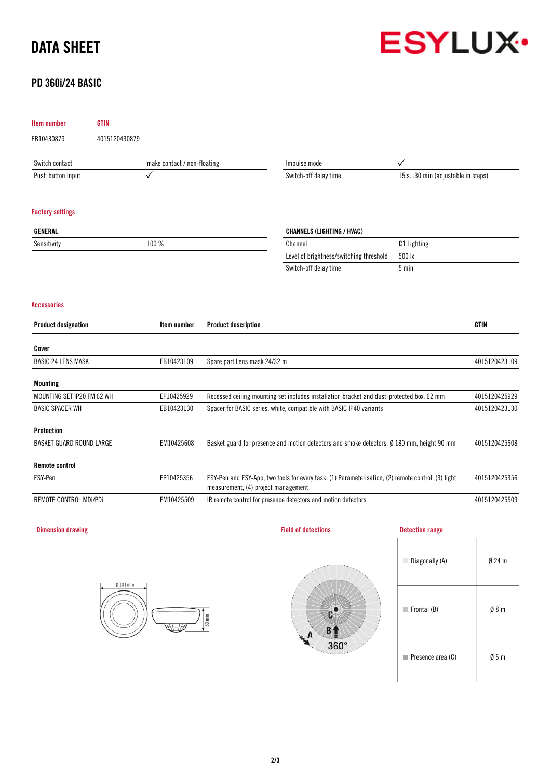# DATA SHEET

## PD 360i/24 BASIC



## Item number GTIN EB10430879 4015120430879 Switch contact make contact / non-floating Push button input  $\checkmark$ Impulse mode  $\checkmark$ Switch-off delay time 15 s...30 min (adjustable in steps) Factory settings GENERAL Sensitivity 100 % CHANNELS (LIGHTING / HVAC) Channel Channel C1 Lighting Level of brightness/switching threshold 500 lx Switch-off delay time 5 min Accessories Product designation **Internation** Item number Product description **International CTIN** GTIN Cover BASIC 24 LENS MASK **EB10423109** Spare part Lens mask 24/32 m 4015120423109 4015120423109 Mounting MOUNTING SET IP20 FM 62 WH EP10425929 Recessed ceiling mounting set includes installation bracket and dust-protected box, 62 mm 4015120425929

| <b>BASIC SPACER WH</b>   | EB10423130 | Spacer for BASIC series, white, compatible with BASIC IP40 variants<br>4015120423130                                                      |               |
|--------------------------|------------|-------------------------------------------------------------------------------------------------------------------------------------------|---------------|
|                          |            |                                                                                                                                           |               |
| Protection               |            |                                                                                                                                           |               |
| BASKET GUARD ROUND LARGE | EM10425608 | Basket guard for presence and motion detectors and smoke detectors, $\varnothing$ 180 mm, height 90 mm                                    | 4015120425608 |
|                          |            |                                                                                                                                           |               |
| <b>Remote control</b>    |            |                                                                                                                                           |               |
| ESY-Pen                  | EP10425356 | ESY-Pen and ESY-App, two tools for every task: (1) Parameterisation, (2) remote control, (3) light<br>measurement, (4) project management | 4015120425356 |
| REMOTE CONTROL MDi/PDi   | EM10425509 | IR remote control for presence detectors and motion detectors                                                                             | 4015120425509 |

| <b>Dimension drawing</b>                 | <b>Field of detections</b>                        | <b>Detection range</b>           |                 |
|------------------------------------------|---------------------------------------------------|----------------------------------|-----------------|
| $Ø101$ mm<br>$53 \, \text{mm}$<br>HH 177 | <b>ARRESTER</b><br>Л<br>$360^\circ$<br>Territores | Diagonally (A)                   | $Ø$ 24 m        |
|                                          |                                                   | $\blacksquare$ Frontal (B)       | $\emptyset$ 8 m |
|                                          |                                                   | $\blacksquare$ Presence area (C) | $\emptyset$ 6 m |